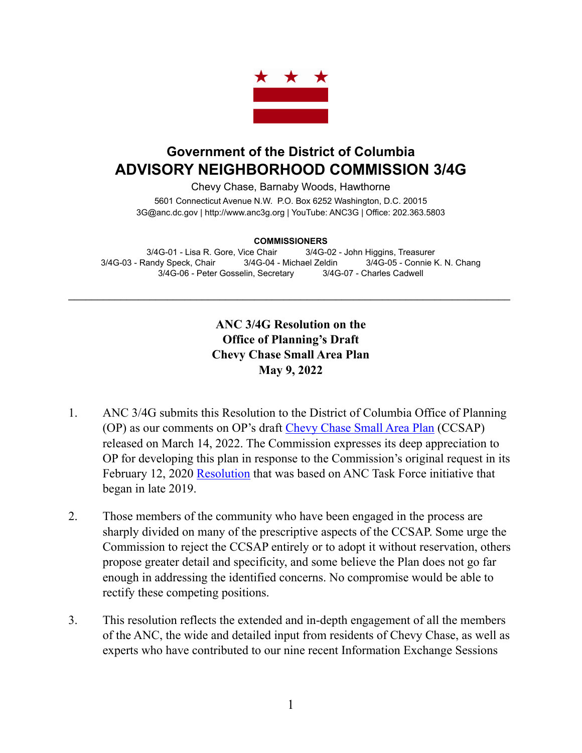

## **Government of the District of Columbia ADVISORY NEIGHBORHOOD COMMISSION 3/4G**

Chevy Chase, Barnaby Woods, Hawthorne 5601 Connecticut Avenue N.W. P.O. Box 6252 Washington, D.C. 20015

3G@anc.dc.gov | <http://www.anc3g.org>| YouTube: ANC3G | Office: 202.363.5803

## **COMMISSIONERS**

3/4G-01 - Lisa R. Gore, Vice Chair 3/4G-02 - John Higgins, Treasurer 3/4G-03 - Randy Speck, Chair 3/4G-04 - Michael Zeldin 3/4G-05 - Connie K. N. Chang 3/4G-06 - Peter Gosselin, Secretary 3/4G-07 - Charles Cadwell

\_\_\_\_\_\_\_\_\_\_\_\_\_\_\_\_\_\_\_\_\_\_\_\_\_\_\_\_\_\_\_\_\_\_\_\_\_\_\_\_\_\_\_\_\_\_\_\_\_\_\_\_\_\_\_\_\_\_\_\_\_\_\_\_\_\_\_\_\_\_\_\_\_\_\_\_

## **ANC 3/4G Resolution on the Office of Planning's Draft Chevy Chase Small Area Plan May 9, 2022**

- 1. ANC 3/4G submits this Resolution to the District of Columbia Office of Planning (OP) as our comments on OP's draft [Chevy Chase Small Area Plan](https://publicinput.com/Customer/File/Full/cc763d91-1c5b-4982-afc7-9d57e1670ca3) (CCSAP) released on March 14, 2022. The Commission expresses its deep appreciation to OP for developing this plan in response to the Commission's original request in its February 12, 2020 [Resolution](https://anc3g.org/wp-content/uploads/2020/02/Comp-Plan-Res-Final.pdf) that was based on ANC Task Force initiative that began in late 2019.
- 2. Those members of the community who have been engaged in the process are sharply divided on many of the prescriptive aspects of the CCSAP. Some urge the Commission to reject the CCSAP entirely or to adopt it without reservation, others propose greater detail and specificity, and some believe the Plan does not go far enough in addressing the identified concerns. No compromise would be able to rectify these competing positions.
- 3. This resolution reflects the extended and in-depth engagement of all the members of the ANC, the wide and detailed input from residents of Chevy Chase, as well as experts who have contributed to our nine recent Information Exchange Sessions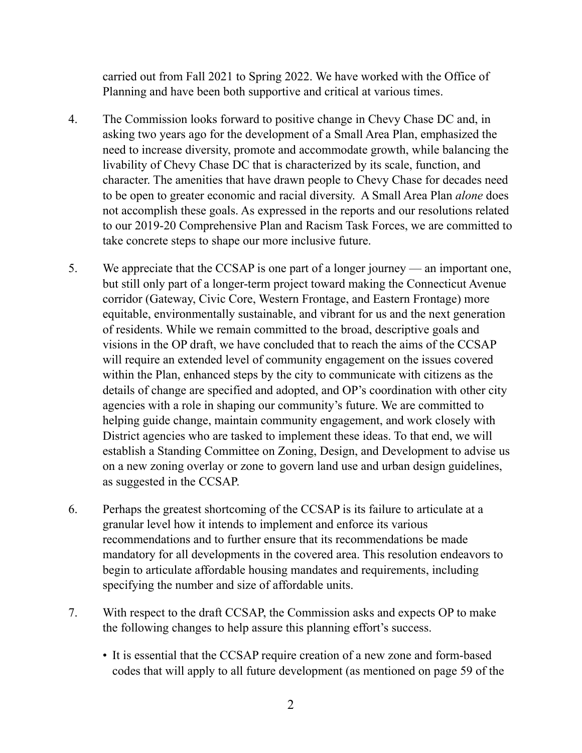carried out from Fall 2021 to Spring 2022. We have worked with the Office of Planning and have been both supportive and critical at various times.

- 4. The Commission looks forward to positive change in Chevy Chase DC and, in asking two years ago for the development of a Small Area Plan, emphasized the need to increase diversity, promote and accommodate growth, while balancing the livability of Chevy Chase DC that is characterized by its scale, function, and character. The amenities that have drawn people to Chevy Chase for decades need to be open to greater economic and racial diversity. A Small Area Plan *alone* does not accomplish these goals. As expressed in the reports and our resolutions related to our 2019-20 Comprehensive Plan and Racism Task Forces, we are committed to take concrete steps to shape our more inclusive future.
- 5. We appreciate that the CCSAP is one part of a longer journey an important one, but still only part of a longer-term project toward making the Connecticut Avenue corridor (Gateway, Civic Core, Western Frontage, and Eastern Frontage) more equitable, environmentally sustainable, and vibrant for us and the next generation of residents. While we remain committed to the broad, descriptive goals and visions in the OP draft, we have concluded that to reach the aims of the CCSAP will require an extended level of community engagement on the issues covered within the Plan, enhanced steps by the city to communicate with citizens as the details of change are specified and adopted, and OP's coordination with other city agencies with a role in shaping our community's future. We are committed to helping guide change, maintain community engagement, and work closely with District agencies who are tasked to implement these ideas. To that end, we will establish a Standing Committee on Zoning, Design, and Development to advise us on a new zoning overlay or zone to govern land use and urban design guidelines, as suggested in the CCSAP.
- 6. Perhaps the greatest shortcoming of the CCSAP is its failure to articulate at a granular level how it intends to implement and enforce its various recommendations and to further ensure that its recommendations be made mandatory for all developments in the covered area. This resolution endeavors to begin to articulate affordable housing mandates and requirements, including specifying the number and size of affordable units.
- 7. With respect to the draft CCSAP, the Commission asks and expects OP to make the following changes to help assure this planning effort's success.
	- It is essential that the CCSAP require creation of a new zone and form-based codes that will apply to all future development (as mentioned on page 59 of the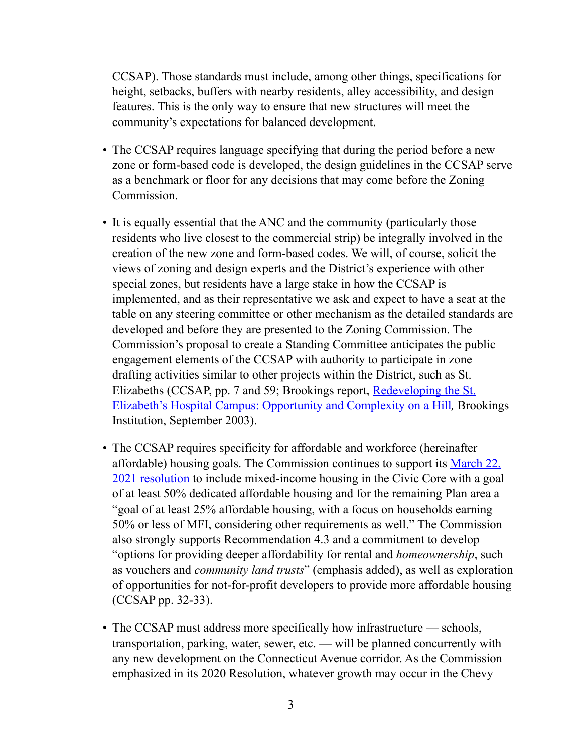CCSAP). Those standards must include, among other things, specifications for height, setbacks, buffers with nearby residents, alley accessibility, and design features. This is the only way to ensure that new structures will meet the community's expectations for balanced development.

- The CCSAP requires language specifying that during the period before a new zone or form-based code is developed, the design guidelines in the CCSAP serve as a benchmark or floor for any decisions that may come before the Zoning Commission.
- It is equally essential that the ANC and the community (particularly those residents who live closest to the commercial strip) be integrally involved in the creation of the new zone and form-based codes. We will, of course, solicit the views of zoning and design experts and the District's experience with other special zones, but residents have a large stake in how the CCSAP is implemented, and as their representative we ask and expect to have a seat at the table on any steering committee or other mechanism as the detailed standards are developed and before they are presented to the Zoning Commission. The Commission's proposal to create a Standing Committee anticipates the public engagement elements of the CCSAP with authority to participate in zone drafting activities similar to other projects within the District, such as St. Elizabeths (CCSAP, pp. 7 and 59; Brookings report, Redeveloping the St. [Elizabeth's Hospital Campus: Opportunity and Complexity on a Hill](https://www.brookings.edu/wp-content/uploads/2016/06/stelizabeths.pdf)*,* Brookings Institution, September 2003).
- The CCSAP requires specificity for affordable and workforce (hereinafter affordable) housing goals. The Commission continues to support its [March 22,](https://anc3g.org/wp-content/uploads/2021/04/3-22-2021-Meeting-Minutes.pdf)  [2021 resolution](https://anc3g.org/wp-content/uploads/2021/04/3-22-2021-Meeting-Minutes.pdf) to include mixed-income housing in the Civic Core with a goal of at least 50% dedicated affordable housing and for the remaining Plan area a "goal of at least 25% affordable housing, with a focus on households earning 50% or less of MFI, considering other requirements as well." The Commission also strongly supports Recommendation 4.3 and a commitment to develop "options for providing deeper affordability for rental and *homeownership*, such as vouchers and *community land trusts*" (emphasis added), as well as exploration of opportunities for not-for-profit developers to provide more affordable housing (CCSAP pp. 32-33).
- The CCSAP must address more specifically how infrastructure schools, transportation, parking, water, sewer, etc. — will be planned concurrently with any new development on the Connecticut Avenue corridor. As the Commission emphasized in its 2020 Resolution, whatever growth may occur in the Chevy